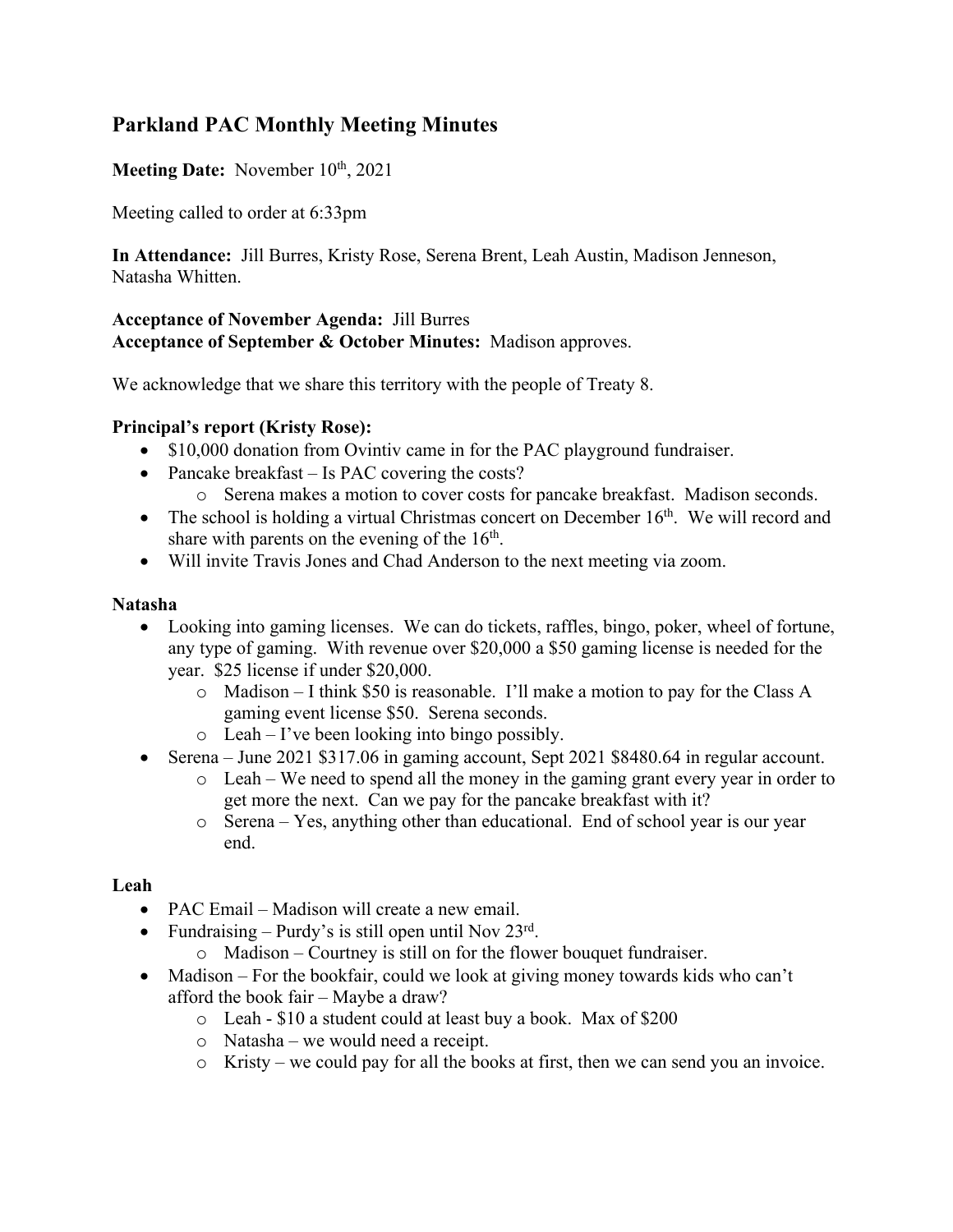# **Parkland PAC Monthly Meeting Minutes**

# **Meeting Date:** November 10<sup>th</sup>, 2021

Meeting called to order at 6:33pm

**In Attendance:** Jill Burres, Kristy Rose, Serena Brent, Leah Austin, Madison Jenneson, Natasha Whitten.

### **Acceptance of November Agenda:** Jill Burres **Acceptance of September & October Minutes:** Madison approves.

We acknowledge that we share this territory with the people of Treaty 8.

# **Principal's report (Kristy Rose):**

- \$10,000 donation from Ovintiv came in for the PAC playground fundraiser.
- Pancake breakfast Is PAC covering the costs?
	- o Serena makes a motion to cover costs for pancake breakfast. Madison seconds.
- The school is holding a virtual Christmas concert on December 16<sup>th</sup>. We will record and share with parents on the evening of the  $16<sup>th</sup>$ .
- Will invite Travis Jones and Chad Anderson to the next meeting via zoom.

# **Natasha**

- Looking into gaming licenses. We can do tickets, raffles, bingo, poker, wheel of fortune, any type of gaming. With revenue over \$20,000 a \$50 gaming license is needed for the year. \$25 license if under \$20,000.
	- o Madison I think \$50 is reasonable. I'll make a motion to pay for the Class A gaming event license \$50. Serena seconds.
	- o Leah I've been looking into bingo possibly.
- Serena June 2021 \$317.06 in gaming account, Sept 2021 \$8480.64 in regular account.
	- o Leah We need to spend all the money in the gaming grant every year in order to get more the next. Can we pay for the pancake breakfast with it?
	- o Serena Yes, anything other than educational. End of school year is our year end.

# **Leah**

- PAC Email Madison will create a new email.
- Fundraising Purdy's is still open until Nov  $23<sup>rd</sup>$ .
	- o Madison Courtney is still on for the flower bouquet fundraiser.
- Madison For the bookfair, could we look at giving money towards kids who can't afford the book fair – Maybe a draw?
	- o Leah \$10 a student could at least buy a book. Max of \$200
	- o Natasha we would need a receipt.
	- o Kristy we could pay for all the books at first, then we can send you an invoice.